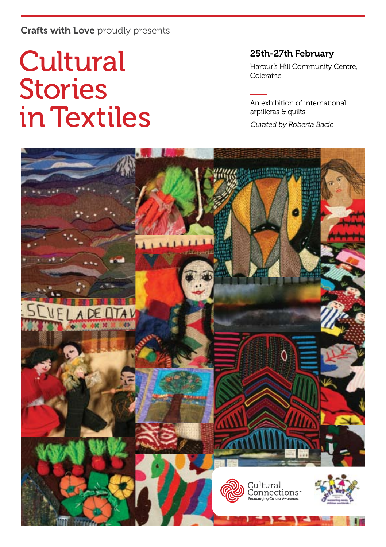## Crafts with Love proudly presents

# **Cultural** Stories in Textiles

### 25th-27th February

Harpur's Hill Community Centre, Coleraine

An exhibition of international arpilleras & quilts

Curated by Roberta Bacic